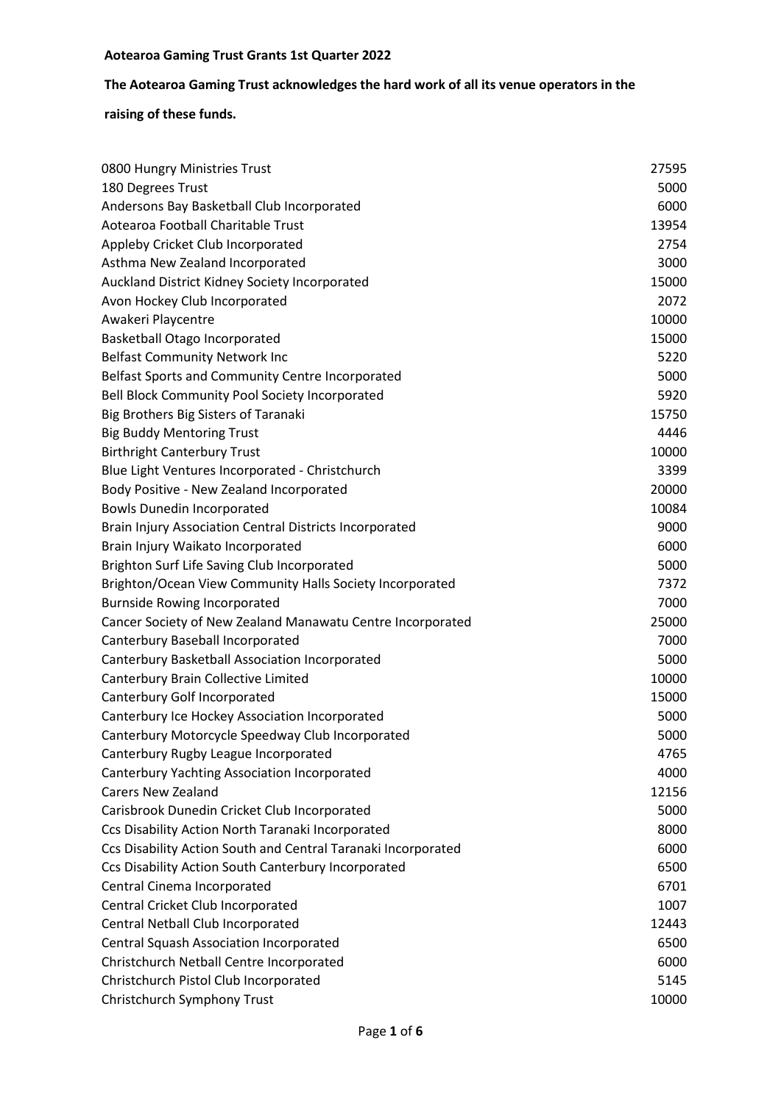# **The Aotearoa Gaming Trust acknowledges the hard work of all its venue operators in the**

| 0800 Hungry Ministries Trust                                  | 27595 |
|---------------------------------------------------------------|-------|
| 180 Degrees Trust                                             | 5000  |
| Andersons Bay Basketball Club Incorporated                    | 6000  |
| Aotearoa Football Charitable Trust                            | 13954 |
| Appleby Cricket Club Incorporated                             | 2754  |
| Asthma New Zealand Incorporated                               | 3000  |
| Auckland District Kidney Society Incorporated                 | 15000 |
| Avon Hockey Club Incorporated                                 | 2072  |
| Awakeri Playcentre                                            | 10000 |
| <b>Basketball Otago Incorporated</b>                          | 15000 |
| <b>Belfast Community Network Inc</b>                          | 5220  |
| Belfast Sports and Community Centre Incorporated              | 5000  |
| Bell Block Community Pool Society Incorporated                | 5920  |
| Big Brothers Big Sisters of Taranaki                          | 15750 |
| <b>Big Buddy Mentoring Trust</b>                              | 4446  |
| <b>Birthright Canterbury Trust</b>                            | 10000 |
| Blue Light Ventures Incorporated - Christchurch               | 3399  |
| Body Positive - New Zealand Incorporated                      | 20000 |
| <b>Bowls Dunedin Incorporated</b>                             | 10084 |
| Brain Injury Association Central Districts Incorporated       | 9000  |
| Brain Injury Waikato Incorporated                             | 6000  |
| Brighton Surf Life Saving Club Incorporated                   | 5000  |
| Brighton/Ocean View Community Halls Society Incorporated      | 7372  |
| <b>Burnside Rowing Incorporated</b>                           | 7000  |
| Cancer Society of New Zealand Manawatu Centre Incorporated    | 25000 |
| Canterbury Baseball Incorporated                              | 7000  |
| Canterbury Basketball Association Incorporated                | 5000  |
| Canterbury Brain Collective Limited                           | 10000 |
| Canterbury Golf Incorporated                                  | 15000 |
| Canterbury Ice Hockey Association Incorporated                | 5000  |
| Canterbury Motorcycle Speedway Club Incorporated              | 5000  |
| Canterbury Rugby League Incorporated                          | 4765  |
| <b>Canterbury Yachting Association Incorporated</b>           | 4000  |
| <b>Carers New Zealand</b>                                     | 12156 |
| Carisbrook Dunedin Cricket Club Incorporated                  | 5000  |
| Ccs Disability Action North Taranaki Incorporated             | 8000  |
| Ccs Disability Action South and Central Taranaki Incorporated | 6000  |
| Ccs Disability Action South Canterbury Incorporated           | 6500  |
| Central Cinema Incorporated                                   | 6701  |
| Central Cricket Club Incorporated                             | 1007  |
| Central Netball Club Incorporated                             | 12443 |
| Central Squash Association Incorporated                       | 6500  |
| Christchurch Netball Centre Incorporated                      | 6000  |
| Christchurch Pistol Club Incorporated                         | 5145  |
| Christchurch Symphony Trust                                   | 10000 |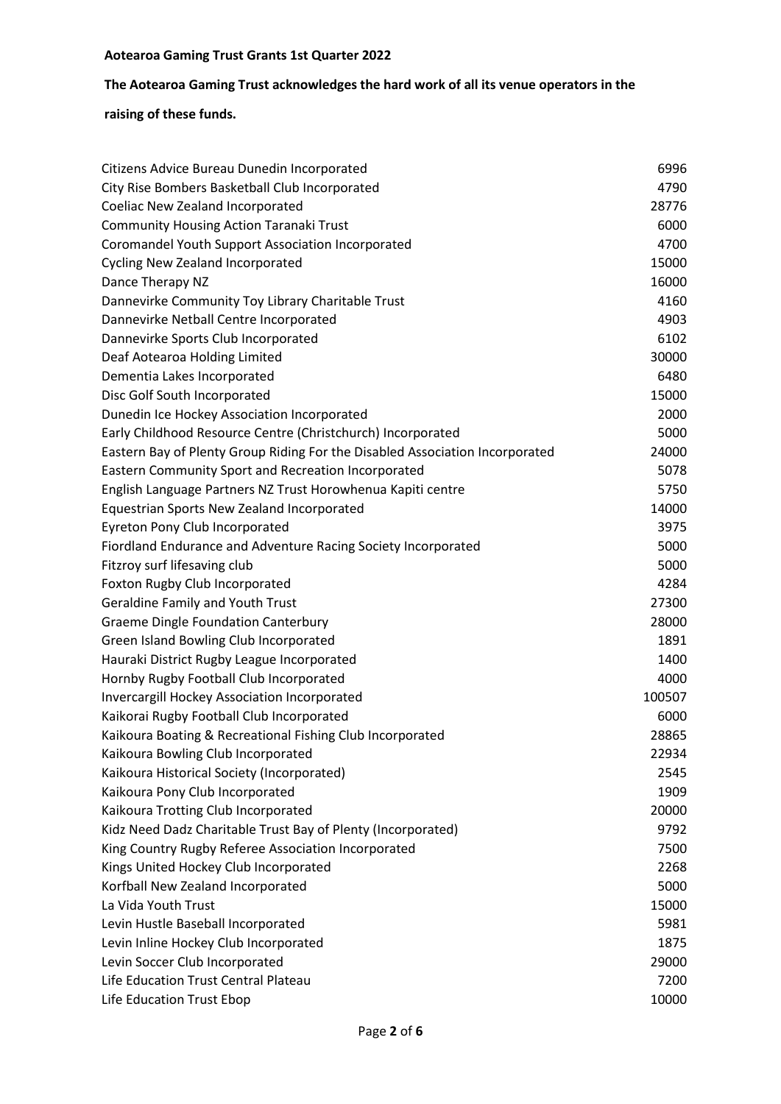# **The Aotearoa Gaming Trust acknowledges the hard work of all its venue operators in the**

| Citizens Advice Bureau Dunedin Incorporated                                  | 6996   |
|------------------------------------------------------------------------------|--------|
| City Rise Bombers Basketball Club Incorporated                               | 4790   |
| Coeliac New Zealand Incorporated                                             | 28776  |
| <b>Community Housing Action Taranaki Trust</b>                               | 6000   |
| <b>Coromandel Youth Support Association Incorporated</b>                     | 4700   |
| <b>Cycling New Zealand Incorporated</b>                                      | 15000  |
| Dance Therapy NZ                                                             | 16000  |
| Dannevirke Community Toy Library Charitable Trust                            | 4160   |
| Dannevirke Netball Centre Incorporated                                       | 4903   |
| Dannevirke Sports Club Incorporated                                          | 6102   |
| Deaf Aotearoa Holding Limited                                                | 30000  |
| Dementia Lakes Incorporated                                                  | 6480   |
| Disc Golf South Incorporated                                                 | 15000  |
| Dunedin Ice Hockey Association Incorporated                                  | 2000   |
| Early Childhood Resource Centre (Christchurch) Incorporated                  | 5000   |
| Eastern Bay of Plenty Group Riding For the Disabled Association Incorporated | 24000  |
| Eastern Community Sport and Recreation Incorporated                          | 5078   |
| English Language Partners NZ Trust Horowhenua Kapiti centre                  | 5750   |
| Equestrian Sports New Zealand Incorporated                                   | 14000  |
| Eyreton Pony Club Incorporated                                               | 3975   |
| Fiordland Endurance and Adventure Racing Society Incorporated                | 5000   |
| Fitzroy surf lifesaving club                                                 | 5000   |
| Foxton Rugby Club Incorporated                                               | 4284   |
| <b>Geraldine Family and Youth Trust</b>                                      | 27300  |
| <b>Graeme Dingle Foundation Canterbury</b>                                   | 28000  |
| Green Island Bowling Club Incorporated                                       | 1891   |
| Hauraki District Rugby League Incorporated                                   | 1400   |
| Hornby Rugby Football Club Incorporated                                      | 4000   |
| Invercargill Hockey Association Incorporated                                 | 100507 |
| Kaikorai Rugby Football Club Incorporated                                    | 6000   |
| Kaikoura Boating & Recreational Fishing Club Incorporated                    | 28865  |
| Kaikoura Bowling Club Incorporated                                           | 22934  |
| Kaikoura Historical Society (Incorporated)                                   | 2545   |
| Kaikoura Pony Club Incorporated                                              | 1909   |
| Kaikoura Trotting Club Incorporated                                          | 20000  |
| Kidz Need Dadz Charitable Trust Bay of Plenty (Incorporated)                 | 9792   |
| King Country Rugby Referee Association Incorporated                          | 7500   |
| Kings United Hockey Club Incorporated                                        | 2268   |
| Korfball New Zealand Incorporated                                            | 5000   |
| La Vida Youth Trust                                                          | 15000  |
| Levin Hustle Baseball Incorporated                                           | 5981   |
| Levin Inline Hockey Club Incorporated                                        | 1875   |
| Levin Soccer Club Incorporated                                               | 29000  |
| Life Education Trust Central Plateau                                         | 7200   |
| Life Education Trust Ebop                                                    | 10000  |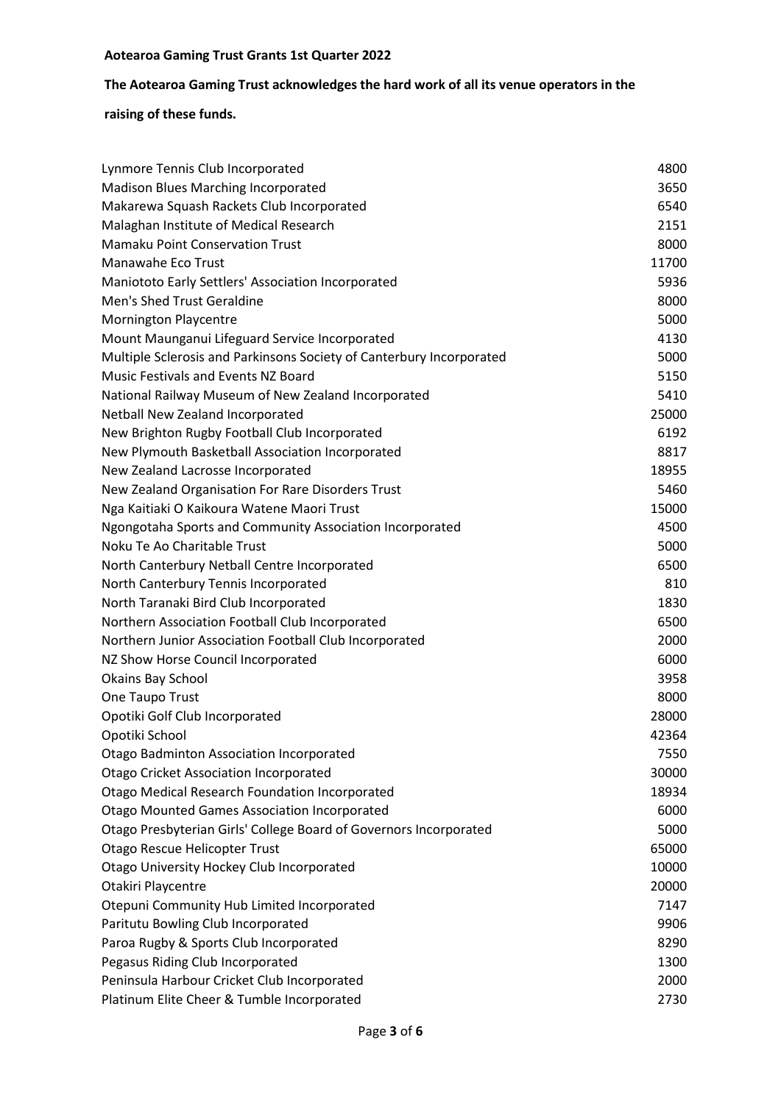# **The Aotearoa Gaming Trust acknowledges the hard work of all its venue operators in the**

| Lynmore Tennis Club Incorporated                                     | 4800  |
|----------------------------------------------------------------------|-------|
| <b>Madison Blues Marching Incorporated</b>                           | 3650  |
| Makarewa Squash Rackets Club Incorporated                            | 6540  |
| Malaghan Institute of Medical Research                               | 2151  |
| <b>Mamaku Point Conservation Trust</b>                               | 8000  |
| Manawahe Eco Trust                                                   | 11700 |
| Maniototo Early Settlers' Association Incorporated                   | 5936  |
| Men's Shed Trust Geraldine                                           | 8000  |
| <b>Mornington Playcentre</b>                                         | 5000  |
| Mount Maunganui Lifeguard Service Incorporated                       | 4130  |
| Multiple Sclerosis and Parkinsons Society of Canterbury Incorporated | 5000  |
| Music Festivals and Events NZ Board                                  | 5150  |
| National Railway Museum of New Zealand Incorporated                  | 5410  |
| Netball New Zealand Incorporated                                     | 25000 |
| New Brighton Rugby Football Club Incorporated                        | 6192  |
| New Plymouth Basketball Association Incorporated                     | 8817  |
| New Zealand Lacrosse Incorporated                                    | 18955 |
| New Zealand Organisation For Rare Disorders Trust                    | 5460  |
| Nga Kaitiaki O Kaikoura Watene Maori Trust                           | 15000 |
| Ngongotaha Sports and Community Association Incorporated             | 4500  |
| Noku Te Ao Charitable Trust                                          | 5000  |
| North Canterbury Netball Centre Incorporated                         | 6500  |
| North Canterbury Tennis Incorporated                                 | 810   |
| North Taranaki Bird Club Incorporated                                | 1830  |
| Northern Association Football Club Incorporated                      | 6500  |
| Northern Junior Association Football Club Incorporated               | 2000  |
| NZ Show Horse Council Incorporated                                   | 6000  |
| Okains Bay School                                                    | 3958  |
| One Taupo Trust                                                      | 8000  |
| Opotiki Golf Club Incorporated                                       | 28000 |
| Opotiki School                                                       | 42364 |
| Otago Badminton Association Incorporated                             | 7550  |
| <b>Otago Cricket Association Incorporated</b>                        | 30000 |
| <b>Otago Medical Research Foundation Incorporated</b>                | 18934 |
| <b>Otago Mounted Games Association Incorporated</b>                  | 6000  |
| Otago Presbyterian Girls' College Board of Governors Incorporated    | 5000  |
| Otago Rescue Helicopter Trust                                        | 65000 |
| Otago University Hockey Club Incorporated                            | 10000 |
| Otakiri Playcentre                                                   | 20000 |
| Otepuni Community Hub Limited Incorporated                           | 7147  |
| Paritutu Bowling Club Incorporated                                   | 9906  |
| Paroa Rugby & Sports Club Incorporated                               | 8290  |
| Pegasus Riding Club Incorporated                                     | 1300  |
| Peninsula Harbour Cricket Club Incorporated                          | 2000  |
| Platinum Elite Cheer & Tumble Incorporated                           | 2730  |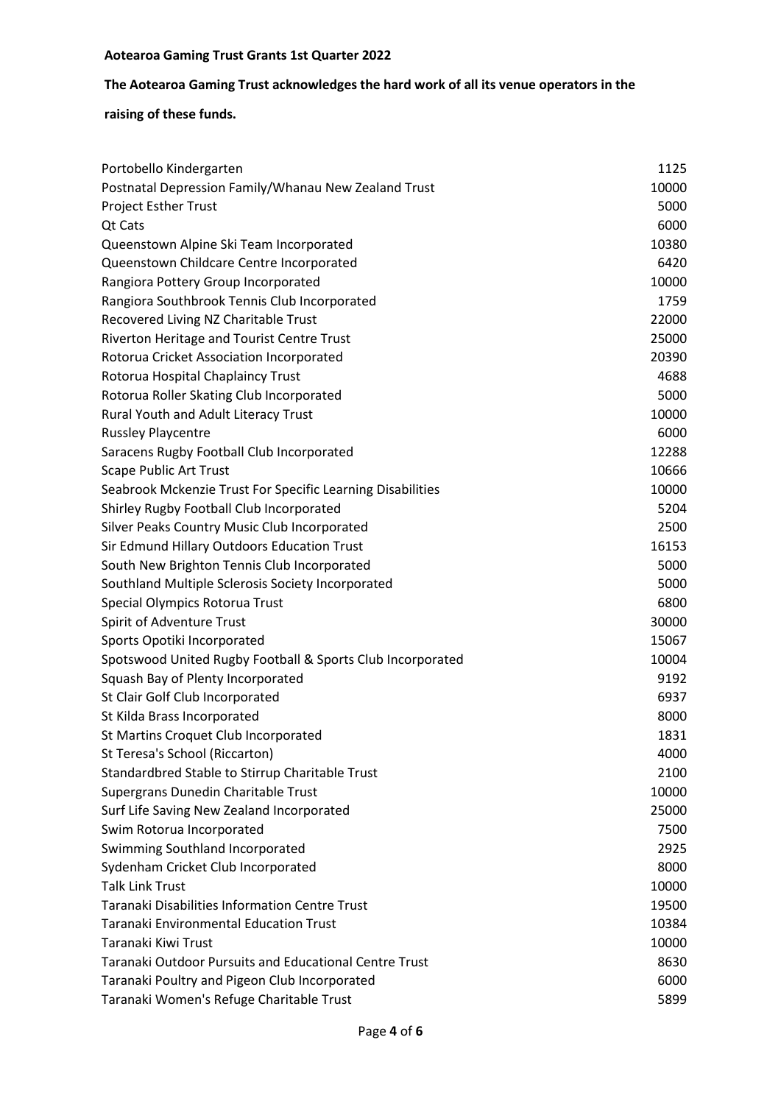# **The Aotearoa Gaming Trust acknowledges the hard work of all its venue operators in the**

| 1125<br>Portobello Kindergarten<br>Postnatal Depression Family/Whanau New Zealand Trust<br>10000<br>Project Esther Trust<br>5000<br>Qt Cats<br>6000<br>10380<br>Queenstown Alpine Ski Team Incorporated<br>6420<br>Queenstown Childcare Centre Incorporated<br>10000<br>Rangiora Pottery Group Incorporated<br>Rangiora Southbrook Tennis Club Incorporated<br>1759<br>22000<br>Recovered Living NZ Charitable Trust<br>Riverton Heritage and Tourist Centre Trust<br>25000<br>Rotorua Cricket Association Incorporated<br>20390<br>4688<br>Rotorua Hospital Chaplaincy Trust<br>5000<br>Rotorua Roller Skating Club Incorporated<br>Rural Youth and Adult Literacy Trust<br>10000<br>6000<br><b>Russley Playcentre</b><br>12288<br>Saracens Rugby Football Club Incorporated<br><b>Scape Public Art Trust</b><br>10666<br>10000<br>Seabrook Mckenzie Trust For Specific Learning Disabilities<br>Shirley Rugby Football Club Incorporated<br>5204<br>Silver Peaks Country Music Club Incorporated<br>2500<br>Sir Edmund Hillary Outdoors Education Trust<br>16153<br>South New Brighton Tennis Club Incorporated<br>5000<br>Southland Multiple Sclerosis Society Incorporated<br>5000<br>Special Olympics Rotorua Trust<br>6800<br>Spirit of Adventure Trust<br>30000<br>15067<br>Sports Opotiki Incorporated<br>10004<br>Spotswood United Rugby Football & Sports Club Incorporated<br>Squash Bay of Plenty Incorporated<br>9192<br>St Clair Golf Club Incorporated<br>6937<br>St Kilda Brass Incorporated<br>8000<br>St Martins Croquet Club Incorporated<br>1831<br>St Teresa's School (Riccarton)<br>4000<br>Standardbred Stable to Stirrup Charitable Trust<br>2100<br>Supergrans Dunedin Charitable Trust<br>10000<br>Surf Life Saving New Zealand Incorporated<br>25000<br>7500<br>Swim Rotorua Incorporated<br>Swimming Southland Incorporated<br>2925 |
|-----------------------------------------------------------------------------------------------------------------------------------------------------------------------------------------------------------------------------------------------------------------------------------------------------------------------------------------------------------------------------------------------------------------------------------------------------------------------------------------------------------------------------------------------------------------------------------------------------------------------------------------------------------------------------------------------------------------------------------------------------------------------------------------------------------------------------------------------------------------------------------------------------------------------------------------------------------------------------------------------------------------------------------------------------------------------------------------------------------------------------------------------------------------------------------------------------------------------------------------------------------------------------------------------------------------------------------------------------------------------------------------------------------------------------------------------------------------------------------------------------------------------------------------------------------------------------------------------------------------------------------------------------------------------------------------------------------------------------------------------------------------------------------------------------------------------------------------------------------------|
|                                                                                                                                                                                                                                                                                                                                                                                                                                                                                                                                                                                                                                                                                                                                                                                                                                                                                                                                                                                                                                                                                                                                                                                                                                                                                                                                                                                                                                                                                                                                                                                                                                                                                                                                                                                                                                                                 |
|                                                                                                                                                                                                                                                                                                                                                                                                                                                                                                                                                                                                                                                                                                                                                                                                                                                                                                                                                                                                                                                                                                                                                                                                                                                                                                                                                                                                                                                                                                                                                                                                                                                                                                                                                                                                                                                                 |
|                                                                                                                                                                                                                                                                                                                                                                                                                                                                                                                                                                                                                                                                                                                                                                                                                                                                                                                                                                                                                                                                                                                                                                                                                                                                                                                                                                                                                                                                                                                                                                                                                                                                                                                                                                                                                                                                 |
|                                                                                                                                                                                                                                                                                                                                                                                                                                                                                                                                                                                                                                                                                                                                                                                                                                                                                                                                                                                                                                                                                                                                                                                                                                                                                                                                                                                                                                                                                                                                                                                                                                                                                                                                                                                                                                                                 |
|                                                                                                                                                                                                                                                                                                                                                                                                                                                                                                                                                                                                                                                                                                                                                                                                                                                                                                                                                                                                                                                                                                                                                                                                                                                                                                                                                                                                                                                                                                                                                                                                                                                                                                                                                                                                                                                                 |
|                                                                                                                                                                                                                                                                                                                                                                                                                                                                                                                                                                                                                                                                                                                                                                                                                                                                                                                                                                                                                                                                                                                                                                                                                                                                                                                                                                                                                                                                                                                                                                                                                                                                                                                                                                                                                                                                 |
|                                                                                                                                                                                                                                                                                                                                                                                                                                                                                                                                                                                                                                                                                                                                                                                                                                                                                                                                                                                                                                                                                                                                                                                                                                                                                                                                                                                                                                                                                                                                                                                                                                                                                                                                                                                                                                                                 |
|                                                                                                                                                                                                                                                                                                                                                                                                                                                                                                                                                                                                                                                                                                                                                                                                                                                                                                                                                                                                                                                                                                                                                                                                                                                                                                                                                                                                                                                                                                                                                                                                                                                                                                                                                                                                                                                                 |
|                                                                                                                                                                                                                                                                                                                                                                                                                                                                                                                                                                                                                                                                                                                                                                                                                                                                                                                                                                                                                                                                                                                                                                                                                                                                                                                                                                                                                                                                                                                                                                                                                                                                                                                                                                                                                                                                 |
|                                                                                                                                                                                                                                                                                                                                                                                                                                                                                                                                                                                                                                                                                                                                                                                                                                                                                                                                                                                                                                                                                                                                                                                                                                                                                                                                                                                                                                                                                                                                                                                                                                                                                                                                                                                                                                                                 |
|                                                                                                                                                                                                                                                                                                                                                                                                                                                                                                                                                                                                                                                                                                                                                                                                                                                                                                                                                                                                                                                                                                                                                                                                                                                                                                                                                                                                                                                                                                                                                                                                                                                                                                                                                                                                                                                                 |
|                                                                                                                                                                                                                                                                                                                                                                                                                                                                                                                                                                                                                                                                                                                                                                                                                                                                                                                                                                                                                                                                                                                                                                                                                                                                                                                                                                                                                                                                                                                                                                                                                                                                                                                                                                                                                                                                 |
|                                                                                                                                                                                                                                                                                                                                                                                                                                                                                                                                                                                                                                                                                                                                                                                                                                                                                                                                                                                                                                                                                                                                                                                                                                                                                                                                                                                                                                                                                                                                                                                                                                                                                                                                                                                                                                                                 |
|                                                                                                                                                                                                                                                                                                                                                                                                                                                                                                                                                                                                                                                                                                                                                                                                                                                                                                                                                                                                                                                                                                                                                                                                                                                                                                                                                                                                                                                                                                                                                                                                                                                                                                                                                                                                                                                                 |
|                                                                                                                                                                                                                                                                                                                                                                                                                                                                                                                                                                                                                                                                                                                                                                                                                                                                                                                                                                                                                                                                                                                                                                                                                                                                                                                                                                                                                                                                                                                                                                                                                                                                                                                                                                                                                                                                 |
|                                                                                                                                                                                                                                                                                                                                                                                                                                                                                                                                                                                                                                                                                                                                                                                                                                                                                                                                                                                                                                                                                                                                                                                                                                                                                                                                                                                                                                                                                                                                                                                                                                                                                                                                                                                                                                                                 |
|                                                                                                                                                                                                                                                                                                                                                                                                                                                                                                                                                                                                                                                                                                                                                                                                                                                                                                                                                                                                                                                                                                                                                                                                                                                                                                                                                                                                                                                                                                                                                                                                                                                                                                                                                                                                                                                                 |
|                                                                                                                                                                                                                                                                                                                                                                                                                                                                                                                                                                                                                                                                                                                                                                                                                                                                                                                                                                                                                                                                                                                                                                                                                                                                                                                                                                                                                                                                                                                                                                                                                                                                                                                                                                                                                                                                 |
|                                                                                                                                                                                                                                                                                                                                                                                                                                                                                                                                                                                                                                                                                                                                                                                                                                                                                                                                                                                                                                                                                                                                                                                                                                                                                                                                                                                                                                                                                                                                                                                                                                                                                                                                                                                                                                                                 |
|                                                                                                                                                                                                                                                                                                                                                                                                                                                                                                                                                                                                                                                                                                                                                                                                                                                                                                                                                                                                                                                                                                                                                                                                                                                                                                                                                                                                                                                                                                                                                                                                                                                                                                                                                                                                                                                                 |
|                                                                                                                                                                                                                                                                                                                                                                                                                                                                                                                                                                                                                                                                                                                                                                                                                                                                                                                                                                                                                                                                                                                                                                                                                                                                                                                                                                                                                                                                                                                                                                                                                                                                                                                                                                                                                                                                 |
|                                                                                                                                                                                                                                                                                                                                                                                                                                                                                                                                                                                                                                                                                                                                                                                                                                                                                                                                                                                                                                                                                                                                                                                                                                                                                                                                                                                                                                                                                                                                                                                                                                                                                                                                                                                                                                                                 |
|                                                                                                                                                                                                                                                                                                                                                                                                                                                                                                                                                                                                                                                                                                                                                                                                                                                                                                                                                                                                                                                                                                                                                                                                                                                                                                                                                                                                                                                                                                                                                                                                                                                                                                                                                                                                                                                                 |
|                                                                                                                                                                                                                                                                                                                                                                                                                                                                                                                                                                                                                                                                                                                                                                                                                                                                                                                                                                                                                                                                                                                                                                                                                                                                                                                                                                                                                                                                                                                                                                                                                                                                                                                                                                                                                                                                 |
|                                                                                                                                                                                                                                                                                                                                                                                                                                                                                                                                                                                                                                                                                                                                                                                                                                                                                                                                                                                                                                                                                                                                                                                                                                                                                                                                                                                                                                                                                                                                                                                                                                                                                                                                                                                                                                                                 |
|                                                                                                                                                                                                                                                                                                                                                                                                                                                                                                                                                                                                                                                                                                                                                                                                                                                                                                                                                                                                                                                                                                                                                                                                                                                                                                                                                                                                                                                                                                                                                                                                                                                                                                                                                                                                                                                                 |
|                                                                                                                                                                                                                                                                                                                                                                                                                                                                                                                                                                                                                                                                                                                                                                                                                                                                                                                                                                                                                                                                                                                                                                                                                                                                                                                                                                                                                                                                                                                                                                                                                                                                                                                                                                                                                                                                 |
|                                                                                                                                                                                                                                                                                                                                                                                                                                                                                                                                                                                                                                                                                                                                                                                                                                                                                                                                                                                                                                                                                                                                                                                                                                                                                                                                                                                                                                                                                                                                                                                                                                                                                                                                                                                                                                                                 |
|                                                                                                                                                                                                                                                                                                                                                                                                                                                                                                                                                                                                                                                                                                                                                                                                                                                                                                                                                                                                                                                                                                                                                                                                                                                                                                                                                                                                                                                                                                                                                                                                                                                                                                                                                                                                                                                                 |
|                                                                                                                                                                                                                                                                                                                                                                                                                                                                                                                                                                                                                                                                                                                                                                                                                                                                                                                                                                                                                                                                                                                                                                                                                                                                                                                                                                                                                                                                                                                                                                                                                                                                                                                                                                                                                                                                 |
|                                                                                                                                                                                                                                                                                                                                                                                                                                                                                                                                                                                                                                                                                                                                                                                                                                                                                                                                                                                                                                                                                                                                                                                                                                                                                                                                                                                                                                                                                                                                                                                                                                                                                                                                                                                                                                                                 |
|                                                                                                                                                                                                                                                                                                                                                                                                                                                                                                                                                                                                                                                                                                                                                                                                                                                                                                                                                                                                                                                                                                                                                                                                                                                                                                                                                                                                                                                                                                                                                                                                                                                                                                                                                                                                                                                                 |
|                                                                                                                                                                                                                                                                                                                                                                                                                                                                                                                                                                                                                                                                                                                                                                                                                                                                                                                                                                                                                                                                                                                                                                                                                                                                                                                                                                                                                                                                                                                                                                                                                                                                                                                                                                                                                                                                 |
|                                                                                                                                                                                                                                                                                                                                                                                                                                                                                                                                                                                                                                                                                                                                                                                                                                                                                                                                                                                                                                                                                                                                                                                                                                                                                                                                                                                                                                                                                                                                                                                                                                                                                                                                                                                                                                                                 |
|                                                                                                                                                                                                                                                                                                                                                                                                                                                                                                                                                                                                                                                                                                                                                                                                                                                                                                                                                                                                                                                                                                                                                                                                                                                                                                                                                                                                                                                                                                                                                                                                                                                                                                                                                                                                                                                                 |
|                                                                                                                                                                                                                                                                                                                                                                                                                                                                                                                                                                                                                                                                                                                                                                                                                                                                                                                                                                                                                                                                                                                                                                                                                                                                                                                                                                                                                                                                                                                                                                                                                                                                                                                                                                                                                                                                 |
|                                                                                                                                                                                                                                                                                                                                                                                                                                                                                                                                                                                                                                                                                                                                                                                                                                                                                                                                                                                                                                                                                                                                                                                                                                                                                                                                                                                                                                                                                                                                                                                                                                                                                                                                                                                                                                                                 |
| 8000<br>Sydenham Cricket Club Incorporated                                                                                                                                                                                                                                                                                                                                                                                                                                                                                                                                                                                                                                                                                                                                                                                                                                                                                                                                                                                                                                                                                                                                                                                                                                                                                                                                                                                                                                                                                                                                                                                                                                                                                                                                                                                                                      |
| <b>Talk Link Trust</b><br>10000                                                                                                                                                                                                                                                                                                                                                                                                                                                                                                                                                                                                                                                                                                                                                                                                                                                                                                                                                                                                                                                                                                                                                                                                                                                                                                                                                                                                                                                                                                                                                                                                                                                                                                                                                                                                                                 |
| <b>Taranaki Disabilities Information Centre Trust</b><br>19500                                                                                                                                                                                                                                                                                                                                                                                                                                                                                                                                                                                                                                                                                                                                                                                                                                                                                                                                                                                                                                                                                                                                                                                                                                                                                                                                                                                                                                                                                                                                                                                                                                                                                                                                                                                                  |
| <b>Taranaki Environmental Education Trust</b><br>10384                                                                                                                                                                                                                                                                                                                                                                                                                                                                                                                                                                                                                                                                                                                                                                                                                                                                                                                                                                                                                                                                                                                                                                                                                                                                                                                                                                                                                                                                                                                                                                                                                                                                                                                                                                                                          |
| Taranaki Kiwi Trust<br>10000                                                                                                                                                                                                                                                                                                                                                                                                                                                                                                                                                                                                                                                                                                                                                                                                                                                                                                                                                                                                                                                                                                                                                                                                                                                                                                                                                                                                                                                                                                                                                                                                                                                                                                                                                                                                                                    |
| Taranaki Outdoor Pursuits and Educational Centre Trust<br>8630                                                                                                                                                                                                                                                                                                                                                                                                                                                                                                                                                                                                                                                                                                                                                                                                                                                                                                                                                                                                                                                                                                                                                                                                                                                                                                                                                                                                                                                                                                                                                                                                                                                                                                                                                                                                  |
| Taranaki Poultry and Pigeon Club Incorporated<br>6000                                                                                                                                                                                                                                                                                                                                                                                                                                                                                                                                                                                                                                                                                                                                                                                                                                                                                                                                                                                                                                                                                                                                                                                                                                                                                                                                                                                                                                                                                                                                                                                                                                                                                                                                                                                                           |
| Taranaki Women's Refuge Charitable Trust<br>5899                                                                                                                                                                                                                                                                                                                                                                                                                                                                                                                                                                                                                                                                                                                                                                                                                                                                                                                                                                                                                                                                                                                                                                                                                                                                                                                                                                                                                                                                                                                                                                                                                                                                                                                                                                                                                |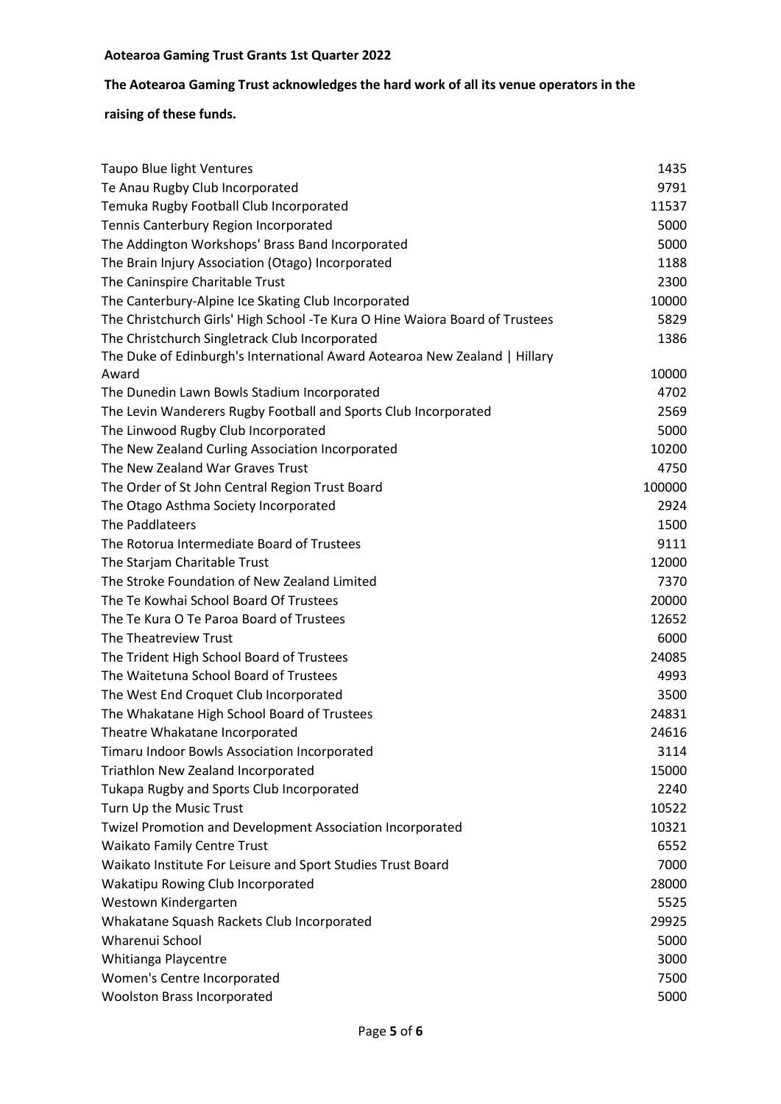# **The Aotearoa Gaming Trust acknowledges the hard work of all its venue operators in the**

| <b>Taupo Blue light Ventures</b>                                              | 1435   |
|-------------------------------------------------------------------------------|--------|
| Te Anau Rugby Club Incorporated                                               | 9791   |
| Temuka Rugby Football Club Incorporated                                       | 11537  |
| Tennis Canterbury Region Incorporated                                         | 5000   |
| The Addington Workshops' Brass Band Incorporated                              | 5000   |
| The Brain Injury Association (Otago) Incorporated                             | 1188   |
| The Caninspire Charitable Trust                                               | 2300   |
| The Canterbury-Alpine Ice Skating Club Incorporated                           | 10000  |
| The Christchurch Girls' High School - Te Kura O Hine Waiora Board of Trustees | 5829   |
| The Christchurch Singletrack Club Incorporated                                | 1386   |
| The Duke of Edinburgh's International Award Aotearoa New Zealand   Hillary    |        |
| Award                                                                         | 10000  |
| The Dunedin Lawn Bowls Stadium Incorporated                                   | 4702   |
| The Levin Wanderers Rugby Football and Sports Club Incorporated               | 2569   |
| The Linwood Rugby Club Incorporated                                           | 5000   |
| The New Zealand Curling Association Incorporated                              | 10200  |
| The New Zealand War Graves Trust                                              | 4750   |
| The Order of St John Central Region Trust Board                               | 100000 |
| The Otago Asthma Society Incorporated                                         | 2924   |
| The Paddlateers                                                               | 1500   |
| The Rotorua Intermediate Board of Trustees                                    | 9111   |
| The Starjam Charitable Trust                                                  | 12000  |
| The Stroke Foundation of New Zealand Limited                                  | 7370   |
| The Te Kowhai School Board Of Trustees                                        | 20000  |
| The Te Kura O Te Paroa Board of Trustees                                      | 12652  |
| The Theatreview Trust                                                         | 6000   |
| The Trident High School Board of Trustees                                     | 24085  |
| The Waitetuna School Board of Trustees                                        | 4993   |
| The West End Croquet Club Incorporated                                        | 3500   |
| The Whakatane High School Board of Trustees                                   | 24831  |
| Theatre Whakatane Incorporated                                                | 24616  |
| Timaru Indoor Bowls Association Incorporated                                  | 3114   |
| Triathlon New Zealand Incorporated                                            | 15000  |
| Tukapa Rugby and Sports Club Incorporated                                     | 2240   |
| Turn Up the Music Trust                                                       | 10522  |
| Twizel Promotion and Development Association Incorporated                     | 10321  |
| <b>Waikato Family Centre Trust</b>                                            | 6552   |
| Waikato Institute For Leisure and Sport Studies Trust Board                   | 7000   |
| Wakatipu Rowing Club Incorporated                                             | 28000  |
| Westown Kindergarten                                                          | 5525   |
| Whakatane Squash Rackets Club Incorporated                                    | 29925  |
| Wharenui School                                                               | 5000   |
| Whitianga Playcentre                                                          | 3000   |
| Women's Centre Incorporated                                                   | 7500   |
| <b>Woolston Brass Incorporated</b>                                            | 5000   |